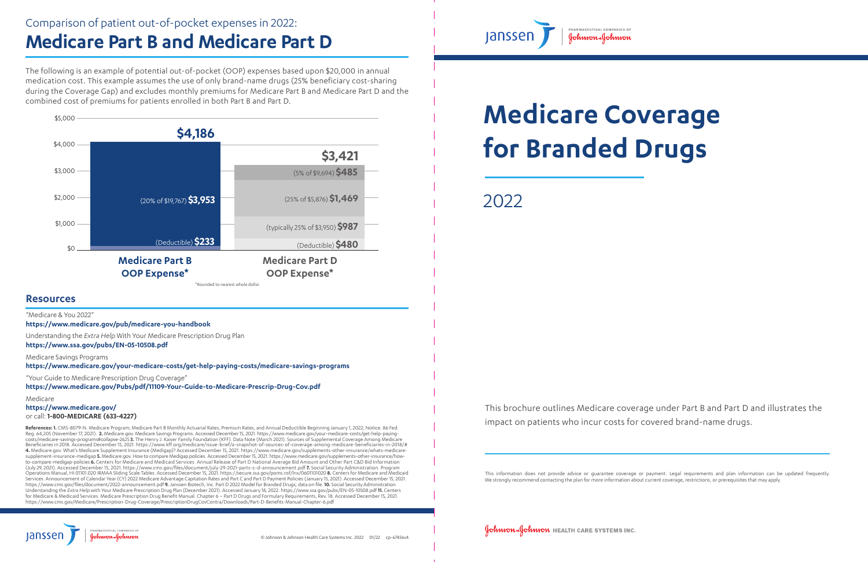This information does not provide advice or guarantee coverage or payment. Legal requirements and plan information can be updated frequently. We strongly recommend contacting the plan for more information about current coverage, restrictions, or prerequisites that may apply.

**COMMON SOUMMON HEALTH CARE SYSTEMS INC.** 

This brochure outlines Medicare coverage under Part B and Part D and illustrates the impact on patients who incur costs for covered brand-name drugs.

# **Medicare Coverage for Branded Drugs**

2022

**References: 1.** CMS-8079-N. Medicare Program; Medicare Part B Monthly Actuarial Rates, Premium Rates, and Annual Deductible Beginning January 1, 2022; Notice. 86 Fed. Reg. 64,205 (November 17, 2021). **2.** Medicare.gov. Medicare Savings Programs. Accessed December 15, 2021. https://www.medicare.gov/your-medicare-costs/get-help-payingcosts/medicare-savings-programs#collapse-2625 **3.** The Henry J. Kaiser Family Foundation (KFF). Data Note (March 2021). Sources of Supplemental Coverage Among Medicare Beneficiaries in 2018. Accessed December 15, 2021. https://www.kff.org/medicare/issue-brief/a-snapshot-of-sources-of-coverage-among-medicare-beneficiaries-in-2018/# **4.** Medicare.gov. What's Medicare Supplement Insurance (Medigap)? Accessed December 15, 2021. https://www.medicare.gov/supplements-other-insurance/whats-medicaresupplement-insurance-medigap **5.** Medicare.gov. How to compare Medigap policies. Accessed December 15, 2021. https://www.medicare.gov/supplements-other-insurance/howto-compare-medigap-policies **6.** Centers for Medicare and Medicaid Services. Annual Release of Part D National Average Bid Amount and Other Part C&D Bid Information (July 29, 2021). Accessed December 15, 2021. https://www.cms.gov/files/document/july-29-2021-parts-c-d-announcement.pdf **7.** Social Security Administration. Program Operations Manual, HI 01101.020 IRMAA Sliding Scale Tables. Accessed December 15, 2021. https://secure.ssa.gov/poms.nsf/lnx/0601101020 **8.** Centers for Medicare and Medicaid Services. Announcement of Calendar Year (CY) 2022 Medicare Advantage Capitation Rates and Part C and Part D Payment Policies (January 15, 2021). Accessed December 15, 2021. https://www.cms.gov/files/document/2022-announcement.pdf **9.** Janssen Biotech, Inc. Part D 2022 Model for Branded Drugs; data on file. **10.** Social Security Administration. Understanding the *Extra Help* with Your Medicare Prescription Drug Plan (December 2021). Accessed January 18, 2022. https://www.ssa.gov/pubs/EN-05-10508.pdf **11.** Centers for Medicare & Medicaid Services. Medicare Prescription Drug Benefit Manual. Chapter 6 – Part D Drugs and Formulary Requirements, Rev. 18. Accessed December 15, 2021. https://www.cms.gov/Medicare/Prescription-Drug-Coverage/PrescriptionDrugCovContra/Downloads/Part-D-Benefits-Manual-Chapter-6.pdf









The following is an example of potential out-of-pocket (OOP) expenses based upon \$20,000 in annual medication cost. This example assumes the use of only brand-name drugs (25% beneficiary cost-sharing during the Coverage Gap) and excludes monthly premiums for Medicare Part B and Medicare Part D and the combined cost of premiums for patients enrolled in both Part B and Part D.

### Comparison of patient out-of-pocket expenses in 2022: **Medicare Part B and Medicare Part D**

#### **Resources**

"Medicare & You 2022"

**https://www.medicare.gov/pub/medicare-you-handbook**

Understanding the *Extra Help* With Your Medicare Prescription Drug Plan **https://www.ssa.gov/pubs/EN-05-10508.pdf** 

Medicare Savings Programs

**https://www.medicare.gov/your-medicare-costs/get-help-paying-costs/medicare-savings-programs**

"Your Guide to Medicare Prescription Drug Coverage"

**https://www.medicare.gov/Pubs/pdf/11109-Your-Guide-to-Medicare-Prescrip-Drug-Cov.pdf**

Medicare

**https://www.medicare.gov/**

or call: **1-800-MEDICARE (633-4227)**